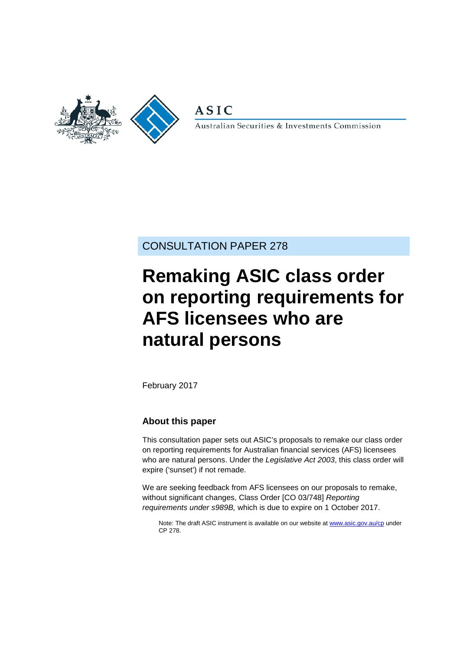

**ASIC** 

Australian Securities & Investments Commission

## CONSULTATION PAPER 278

# **Remaking ASIC class order on reporting requirements for AFS licensees who are natural persons**

February 2017

## **About this paper**

This consultation paper sets out ASIC's proposals to remake our class order on reporting requirements for Australian financial services (AFS) licensees who are natural persons. Under the *Legislative Act 2003*, this class order will expire ('sunset') if not remade.

We are seeking feedback from AFS licensees on our proposals to remake, without significant changes, Class Order [CO 03/748] *Reporting requirements under s989B,* which is due to expire on 1 October 2017.

Note: The draft ASIC instrument is available on our website a[t www.asic.gov.au/cp](http://www.asic.gov.au/regulatory-resources/find-a-document/consultation-papers/) under CP 278.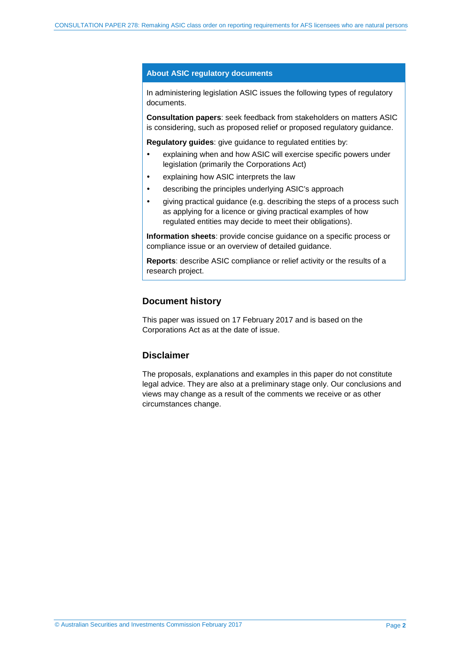#### **About ASIC regulatory documents**

In administering legislation ASIC issues the following types of regulatory documents.

**Consultation papers**: seek feedback from stakeholders on matters ASIC is considering, such as proposed relief or proposed regulatory guidance.

**Regulatory guides**: give guidance to regulated entities by:

- explaining when and how ASIC will exercise specific powers under legislation (primarily the Corporations Act)
- explaining how ASIC interprets the law
- describing the principles underlying ASIC's approach
- giving practical guidance (e.g. describing the steps of a process such as applying for a licence or giving practical examples of how regulated entities may decide to meet their obligations).

**Information sheets**: provide concise guidance on a specific process or compliance issue or an overview of detailed guidance.

**Reports**: describe ASIC compliance or relief activity or the results of a research project.

#### **Document history**

This paper was issued on 17 February 2017 and is based on the Corporations Act as at the date of issue.

### **Disclaimer**

The proposals, explanations and examples in this paper do not constitute legal advice. They are also at a preliminary stage only. Our conclusions and views may change as a result of the comments we receive or as other circumstances change.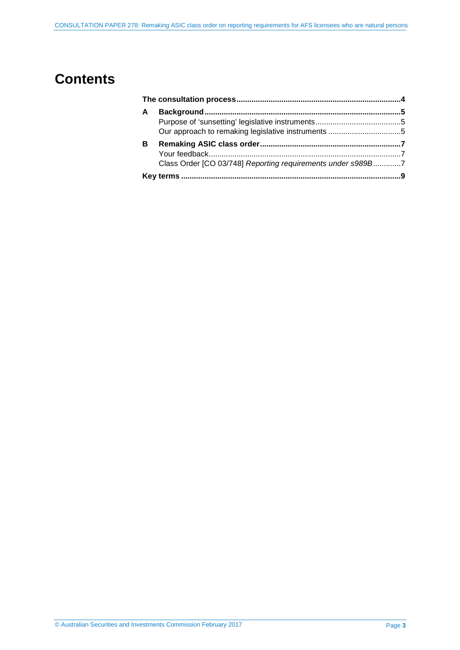## **Contents**

| A |                                                             |  |
|---|-------------------------------------------------------------|--|
|   |                                                             |  |
| в |                                                             |  |
|   | Class Order [CO 03/748] Reporting requirements under s989B7 |  |
|   |                                                             |  |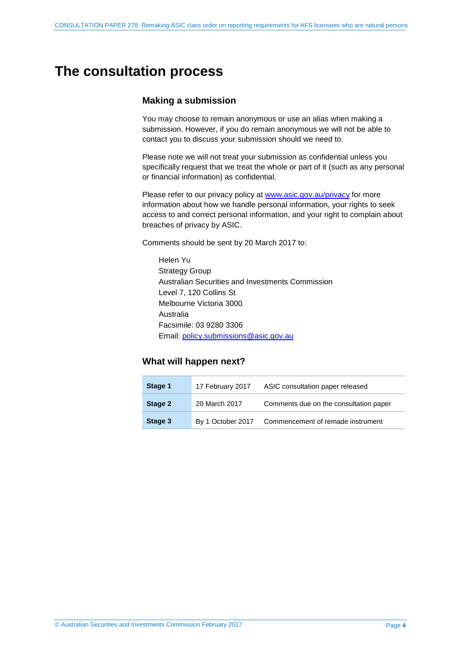## <span id="page-3-0"></span>**The consultation process**

### **Making a submission**

You may choose to remain anonymous or use an alias when making a submission. However, if you do remain anonymous we will not be able to contact you to discuss your submission should we need to.

Please note we will not treat your submission as confidential unless you specifically request that we treat the whole or part of it (such as any personal or financial information) as confidential.

Please refer to our privacy policy at [www.asic.gov.au/privacy](http://www.asic.gov.au/privacy) for more information about how we handle personal information, your rights to seek access to and correct personal information, and your right to complain about breaches of privacy by ASIC.

Comments should be sent by 20 March 2017 to:

Helen Yu Strategy Group Australian Securities and Investments Commission Level 7, 120 Collins St Melbourne Victoria 3000 Australia Facsimile: 03 9280 3306 Email: [policy.submissions@asic.gov.au](mailto:policy.submissions@asic.gov.au)

### **What will happen next?**

| Stage 1 | 17 February 2017  | ASIC consultation paper released       |
|---------|-------------------|----------------------------------------|
| Stage 2 | 20 March 2017     | Comments due on the consultation paper |
| Stage 3 | By 1 October 2017 | Commencement of remade instrument      |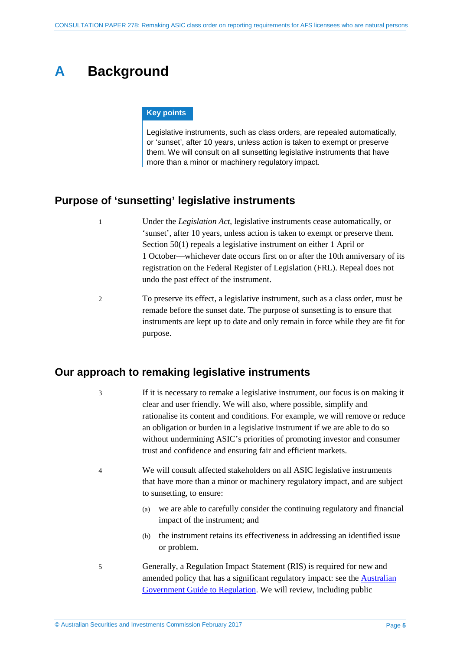## <span id="page-4-0"></span>**A Background**

#### **Key points**

Legislative instruments, such as class orders, are repealed automatically, or 'sunset', after 10 years, unless action is taken to exempt or preserve them. We will consult on all sunsetting legislative instruments that have more than a minor or machinery regulatory impact.

## <span id="page-4-1"></span>**Purpose of 'sunsetting' legislative instruments**

- 1 Under the *Legislation Act*, legislative instruments cease automatically, or 'sunset', after 10 years, unless action is taken to exempt or preserve them. Section 50(1) repeals a legislative instrument on either 1 April or 1 October—whichever date occurs first on or after the 10th anniversary of its registration on the Federal Register of Legislation (FRL). Repeal does not undo the past effect of the instrument.
- 2 To preserve its effect, a legislative instrument, such as a class order, must be remade before the sunset date. The purpose of sunsetting is to ensure that instruments are kept up to date and only remain in force while they are fit for purpose.

## <span id="page-4-2"></span>**Our approach to remaking legislative instruments**

3 If it is necessary to remake a legislative instrument, our focus is on making it clear and user friendly. We will also, where possible, simplify and rationalise its content and conditions. For example, we will remove or reduce an obligation or burden in a legislative instrument if we are able to do so without undermining ASIC's priorities of promoting investor and consumer trust and confidence and ensuring fair and efficient markets.

- 4 We will consult affected stakeholders on all ASIC legislative instruments that have more than a minor or machinery regulatory impact, and are subject to sunsetting, to ensure:
	- (a) we are able to carefully consider the continuing regulatory and financial impact of the instrument; and
	- (b) the instrument retains its effectiveness in addressing an identified issue or problem.
- 5 Generally, a Regulation Impact Statement (RIS) is required for new and amended policy that has a significant regulatory impact: see the **Australian** [Government Guide to Regulation.](https://www.cuttingredtape.gov.au/handbook/australian-government-guide-regulation) We will review, including public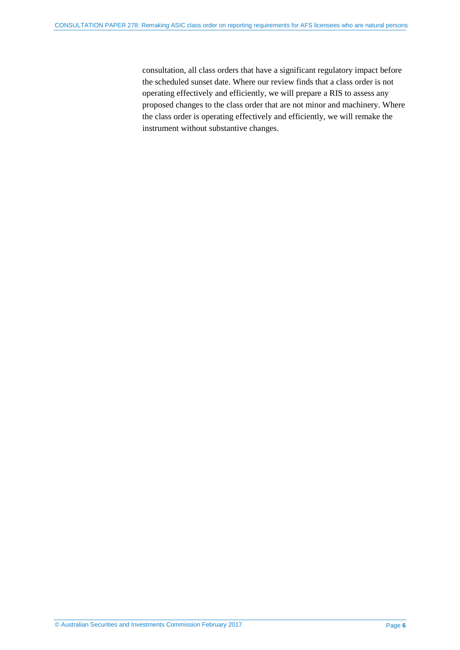consultation, all class orders that have a significant regulatory impact before the scheduled sunset date. Where our review finds that a class order is not operating effectively and efficiently, we will prepare a RIS to assess any proposed changes to the class order that are not minor and machinery. Where the class order is operating effectively and efficiently, we will remake the instrument without substantive changes.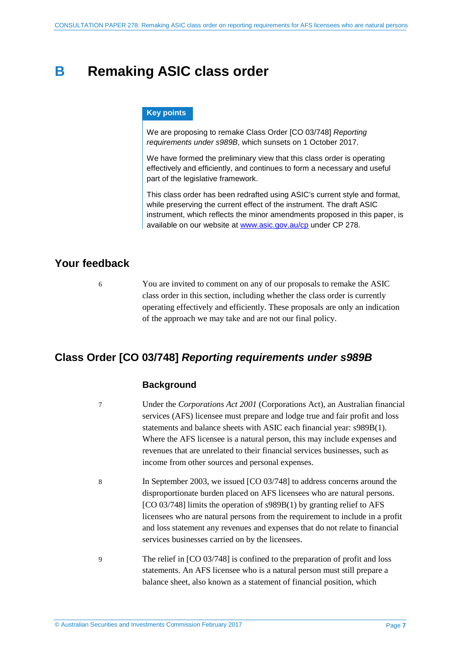## <span id="page-6-0"></span>**B Remaking ASIC class order**

#### **Key points**

We are proposing to remake Class Order [CO 03/748] *Reporting requirements under s989B*, which sunsets on 1 October 2017.

We have formed the preliminary view that this class order is operating effectively and efficiently, and continues to form a necessary and useful part of the legislative framework.

This class order has been redrafted using ASIC's current style and format, while preserving the current effect of the instrument. The draft ASIC instrument, which reflects the minor amendments proposed in this paper, is available on our website at [www.asic.gov.au/cp](http://www.asic.gov.au/regulatory-resources/find-a-document/consultation-papers/) under CP 278.

## <span id="page-6-1"></span>**Your feedback**

6 You are invited to comment on any of our proposals to remake the ASIC class order in this section, including whether the class order is currently operating effectively and efficiently. These proposals are only an indication of the approach we may take and are not our final policy.

## <span id="page-6-2"></span>**Class Order [CO 03/748]** *Reporting requirements under s989B*

### **Background**

- 7 Under the *Corporations Act 2001* (Corporations Act), an Australian financial services (AFS) licensee must prepare and lodge true and fair profit and loss statements and balance sheets with ASIC each financial year: s989B(1). Where the AFS licensee is a natural person, this may include expenses and revenues that are unrelated to their financial services businesses, such as income from other sources and personal expenses.
- 8 In September 2003, we issued [CO 03/748] to address concerns around the disproportionate burden placed on AFS licensees who are natural persons. [CO 03/748] limits the operation of s989B(1) by granting relief to AFS licensees who are natural persons from the requirement to include in a profit and loss statement any revenues and expenses that do not relate to financial services businesses carried on by the licensees.
- 9 The relief in [CO 03/748] is confined to the preparation of profit and loss statements. An AFS licensee who is a natural person must still prepare a balance sheet, also known as a statement of financial position, which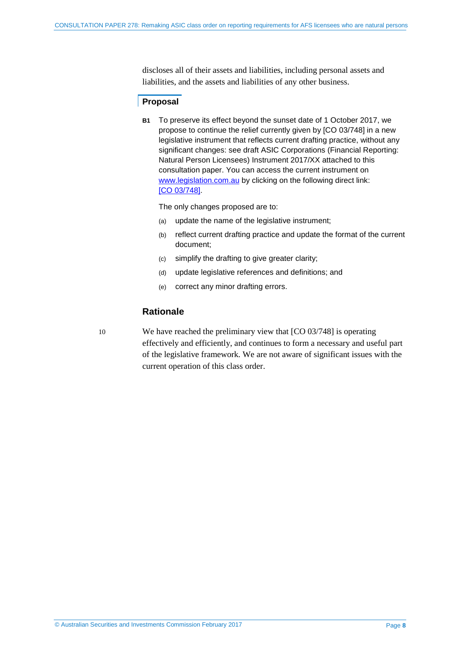discloses all of their assets and liabilities, including personal assets and liabilities, and the assets and liabilities of any other business.

### **Proposal**

**B1** To preserve its effect beyond the sunset date of 1 October 2017, we propose to continue the relief currently given by [CO 03/748] in a new legislative instrument that reflects current drafting practice, without any significant changes: see draft ASIC Corporations (Financial Reporting: Natural Person Licensees) Instrument 2017/XX attached to this consultation paper. You can access the current instrument on [www.legislation.com.au](http://www.legislation.com.au/) by clicking on the following direct link: [CO [03/748\].](https://www.legislation.gov.au/Details/F2007B00648)

The only changes proposed are to:

- (a) update the name of the legislative instrument;
- (b) reflect current drafting practice and update the format of the current document;
- (c) simplify the drafting to give greater clarity;
- (d) update legislative references and definitions; and
- (e) correct any minor drafting errors.

## **Rationale**

10 We have reached the preliminary view that [CO 03/748] is operating effectively and efficiently, and continues to form a necessary and useful part of the legislative framework. We are not aware of significant issues with the current operation of this class order.